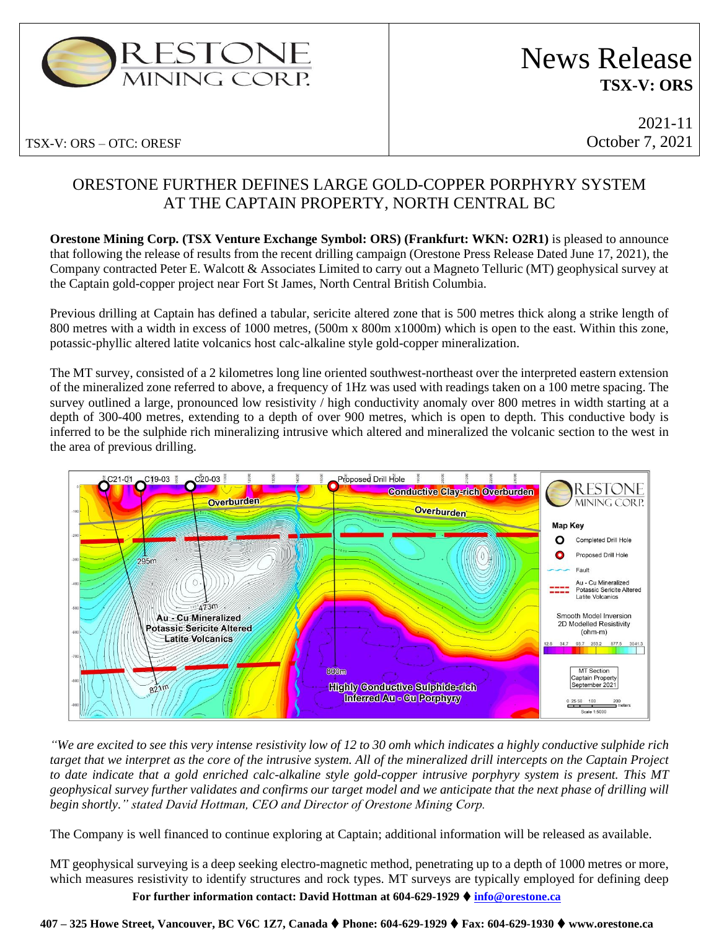

# News Release **TSX-V: ORS**

TSX-V: ORS – OTC: ORESF

2021-11 October 7, 2021

# ORESTONE FURTHER DEFINES LARGE GOLD-COPPER PORPHYRY SYSTEM AT THE CAPTAIN PROPERTY, NORTH CENTRAL BC

**Orestone Mining Corp. (TSX Venture Exchange Symbol: ORS) (Frankfurt: WKN: O2R1)** is pleased to announce that following the release of results from the recent drilling campaign (Orestone Press Release Dated June 17, 2021), the Company contracted Peter E. Walcott & Associates Limited to carry out a Magneto Telluric (MT) geophysical survey at the Captain gold-copper project near Fort St James, North Central British Columbia.

Previous drilling at Captain has defined a tabular, sericite altered zone that is 500 metres thick along a strike length of 800 metres with a width in excess of 1000 metres, (500m x 800m x1000m) which is open to the east. Within this zone, potassic-phyllic altered latite volcanics host calc-alkaline style gold-copper mineralization.

The MT survey, consisted of a 2 kilometres long line oriented southwest-northeast over the interpreted eastern extension of the mineralized zone referred to above, a frequency of 1Hz was used with readings taken on a 100 metre spacing. The survey outlined a large, pronounced low resistivity / high conductivity anomaly over 800 metres in width starting at a depth of 300-400 metres, extending to a depth of over 900 metres, which is open to depth. This conductive body is inferred to be the sulphide rich mineralizing intrusive which altered and mineralized the volcanic section to the west in the area of previous drilling.



*"We are excited to see this very intense resistivity low of 12 to 30 omh which indicates a highly conductive sulphide rich target that we interpret as the core of the intrusive system. All of the mineralized drill intercepts on the Captain Project to date indicate that a gold enriched calc-alkaline style gold-copper intrusive porphyry system is present. This MT geophysical survey further validates and confirms our target model and we anticipate that the next phase of drilling will begin shortly." stated David Hottman, CEO and Director of Orestone Mining Corp.*

The Company is well financed to continue exploring at Captain; additional information will be released as available.

**For further information contact: David Hottman at 604-629-1929** ⧫ **[info@orestone.ca](mailto:info@orestone.ca)** MT geophysical surveying is a deep seeking electro-magnetic method, penetrating up to a depth of 1000 metres or more, which measures resistivity to identify structures and rock types. MT surveys are typically employed for defining deep

## **407 – 325 Howe Street, Vancouver, BC V6C 1Z7, Canada** ⧫ **Phone: 604-629-1929** ⧫ **Fax: 604-629-1930** ⧫ **www.orestone.ca**